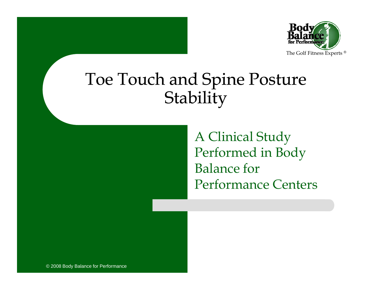

#### Toe Touch and Spine Posture Stability

A Clinical Study Performed in Body Balance for Performance Centers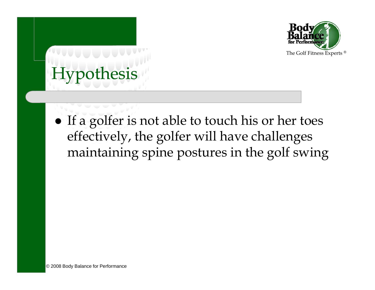

# Hypothesis

• If a golfer is not able to touch his or her toes effectively, the golfer will have challenges maintaining spine postures in the golf swing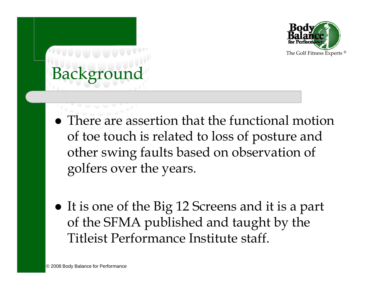

# Backgroun

- There are assertion that the functional motion of toe touch is related to loss of posture and other swing faults based on observation of golfers over the years.
- It is one of the Big 12 Screens and it is a part of the SFMA published and taught by the Titleist Performance Institute staff.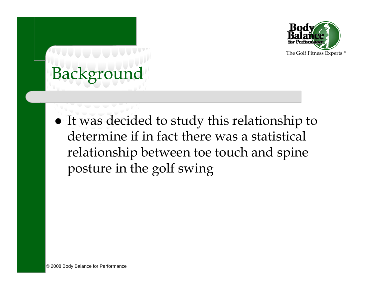

# Background

 $\bullet$  It was decided to study this relationship to determine if in fact there was a statistical relationship between toe touch and spine posture in the golf swing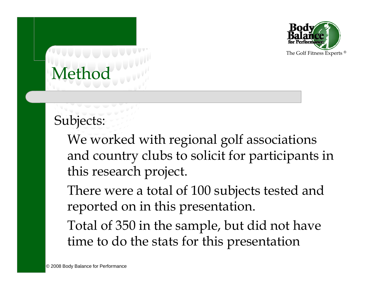

# Metho

Subjects:

We worked with regional golf associations and country clubs to solicit for participants in this research project.

There were a total of 100 subjects tested and reported on in this presentation.

Total of 350 in the sample, but did not have time to do the stats for this presentation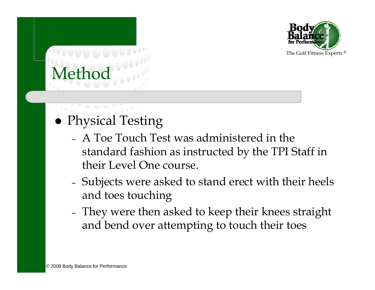

# Metho

- Physical Testing
	- A Toe Touch Test was administered in the standard fashion as instructed by the TPI Staff in their Level One course.
	- – Subjects were asked to stand erect with their heels and toes touching
	- – They were then asked to keep their knees straight and bend over attempting to touch their toes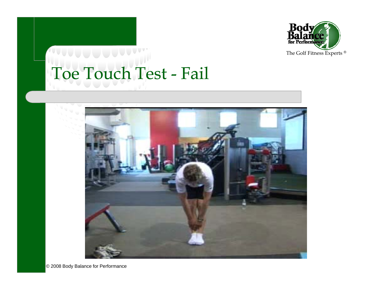

# Toe Touch Test - Fail



© 2008 Body Balance for Performance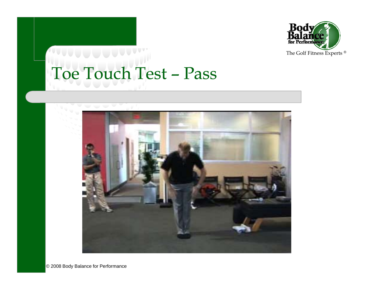

### Toe Touch Test – Pass



© 2008 Body Balance for Performance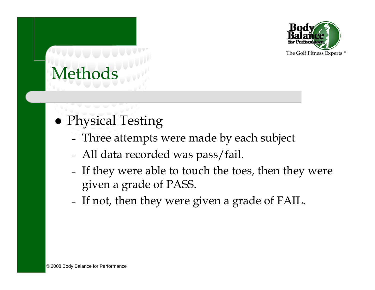

#### • Physical Testing

- –Three attempts were made by each subject
- –All data recorded was pass/fail.
- –- If they were able to touch the toes, then they were given a grade of PASS.
- –- If not, then they were given a grade of FAIL.  $\;$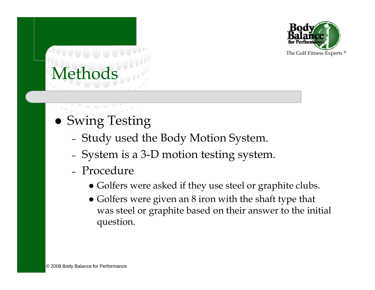

- Swing Testing
	- –Study used the Body Motion System.
	- –System is a 3-D motion testing system.
	- Procedure
		- Golfers were asked if they use steel or graphite clubs.
		- Golfers were given an 8 iron with the shaft type that was steel or graphite based on their answer to the initial question.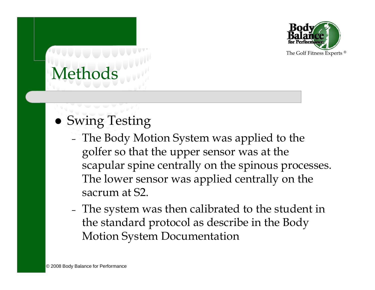

#### • Swing Testing

- – The Body Motion System was applied to the golfer so that the upper sensor was at the scapular spine centrally on the spinous processes. The lower sensor was applied centrally on the sacrum at S2.
- – The system was then calibrated to the student in the standard protocol as describe in the Body Motion System Documentation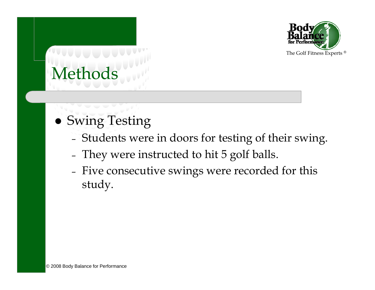

- Swing Testing
	- –Students were in doors for testing of their swing.
	- –They were instructed to hit 5 golf balls.
	- – Five consecutive swings were recorded for this study.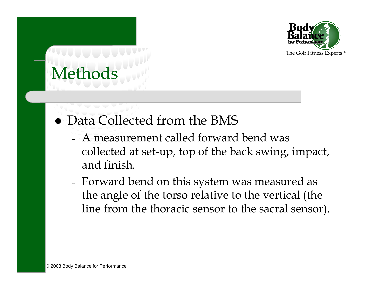

- Data Collected from the BMS
	- A measurement called forward bend was collected at set-up, top of the back swing, impact, and finish.
	- – Forward bend on this system was measured as the angle of the torso relative to the vertical (the line from the thoracic sensor to the sacral sensor).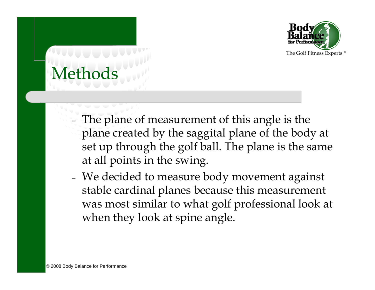

- – The plane of measurement of this angle is the plane created by the saggital plane of the body at set up through the golf ball. The plane is the same at all points in the swing.
- – We decided to measure body movement against stable cardinal planes because this measurement was most similar to what golf professional look at when they look at spine angle.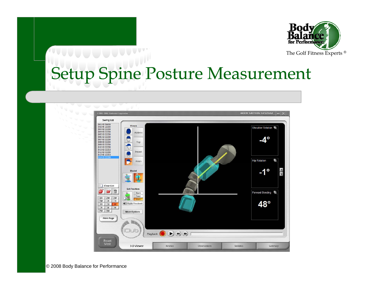

# Setup Spine Posture Measurement

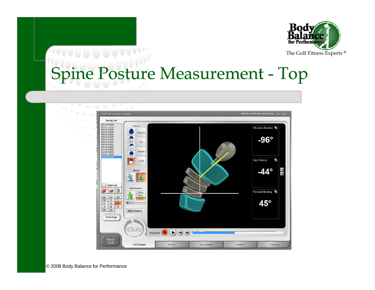

# Spine Posture Measurement - Top

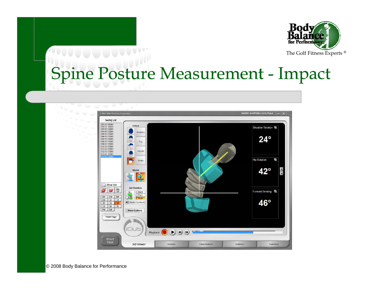

## Spine Posture Measurement - Impact

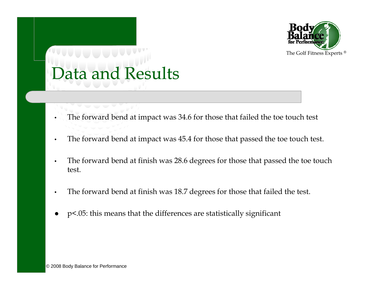

### Data and Results

- •The forward bend at impact was 34.6 for those that failed the toe touch test
- •The forward bend at impact was 45.4 for those that passed the toe touch test.
- • The forward bend at finish was 28.6 degrees for those that passed the toe touch test.
- •The forward bend at finish was 18.7 degrees for those that failed the test.
- 0 p<.05: this means that the differences are statistically significant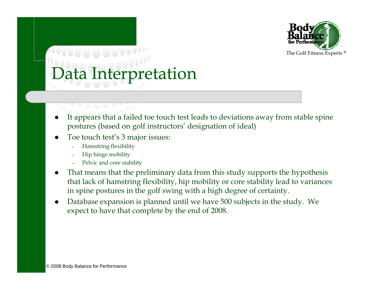

#### Data Interpretation

- It appears that a failed toe touch test leads to deviations away from stable spine postures (based on golf instructors' designation of ideal)
- 0 Toe touch test's 3 major issues:
	- Hamstring flexibility
	- Hip hinge mobility
	- Pelvic and core stability
- 0 That means that the preliminary data from this study supports the hypothesis that lack of hamstring flexibility, hip mobility or core stability lead to variances in spine postures in the golf swing with a high degree of certainty.
- Database expansion is planned until we have 500 subjects in the study. We expect to have that complete by the end of 2008.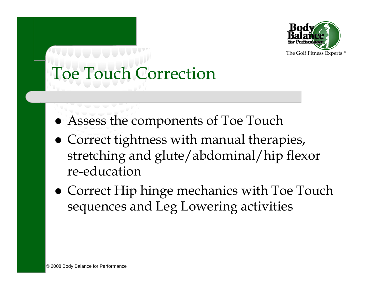

## Toe Touch Correction

- Assess the components of Toe Touch
- Correct tightness with manual therapies, stretching and glute/abdominal/hip flexor re-education
- Correct Hip hinge mechanics with Toe Touch sequences and Leg Lowering activities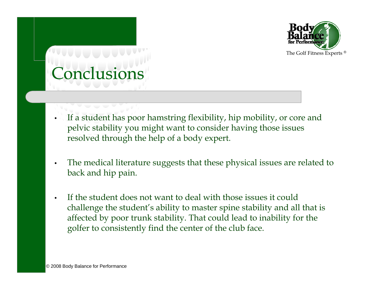

# Conclusion

- • If a student has poor hamstring flexibility, hip mobility, or core and pelvic stability you might want to consider having those issues resolved through the help of a body expert.
- • The medical literature suggests that these physical issues are related to back and hip pain.
- • If the student does not want to deal with those issues it could challenge the student's ability to master spine stability and all that is affected by poor trunk stability. That could lead to inability for the golfer to consistently find the center of the club face.